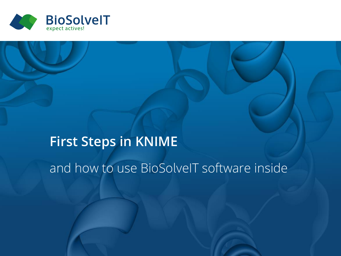

# **First Steps in KNIME** and how to use BioSolveIT software inside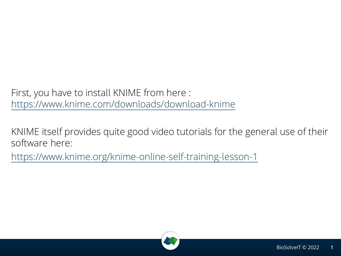First, you have to install KNIME from here : <https://www.knime.com/downloads/download-knime>

KNIME itself provides quite good video tutorials for the general use of their software here: <https://www.knime.org/knime-online-self-training-lesson-1>

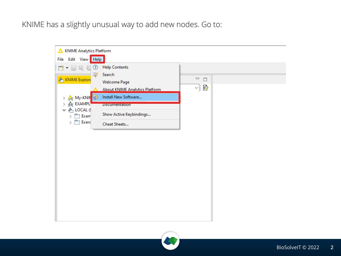KNIME has a slightly unusual way to add new nodes. Go to:



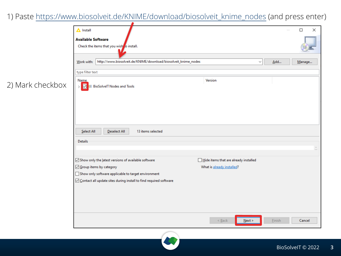1) Paste [https://www.biosolveit.de/KNIME/download/biosolveit\\_knime\\_nodes](https://www.biosolveit.de/KNIME/download/biosolveit_knime_nodes) (and press enter)

2) Mark checkbox

| $\triangle$ Install                                                          |                                       |        | $\times$<br>□ |
|------------------------------------------------------------------------------|---------------------------------------|--------|---------------|
| <b>Available Software</b><br>Check the items that you wish to install.       |                                       |        |               |
|                                                                              |                                       |        |               |
| http://www.biosolveit.de/KNIME/download/biosolveit_knime_nodes<br>Work with: | $\checkmark$                          | Add    |               |
|                                                                              |                                       |        | Manage        |
| type filter text                                                             |                                       |        |               |
| <b>Name</b>                                                                  | Version                               |        |               |
| ☑<br><b>00 BioSolvelT Nodes and Tools</b><br>$\mathcal{P}$                   |                                       |        |               |
|                                                                              |                                       |        |               |
|                                                                              |                                       |        |               |
|                                                                              |                                       |        |               |
|                                                                              |                                       |        |               |
|                                                                              |                                       |        |               |
| Select All<br><b>Deselect All</b><br>13 items selected                       |                                       |        |               |
| <b>Details</b>                                                               |                                       |        |               |
|                                                                              |                                       |        | ů             |
|                                                                              |                                       |        |               |
| Show only the latest versions of available software                          | Hide items that are already installed |        |               |
| Group items by category                                                      | What is already installed?            |        |               |
| Show only software applicable to target environment                          |                                       |        |               |
| ○ Contact all update sites during install to find required software          |                                       |        |               |
|                                                                              |                                       |        |               |
|                                                                              |                                       |        |               |
|                                                                              |                                       |        |               |
|                                                                              |                                       |        |               |
|                                                                              | $<$ Back<br>Next >                    | Einish | Cancel        |
|                                                                              |                                       |        |               |

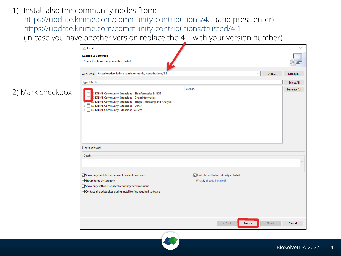1) Install also the community nodes from:

2) Mark checkbox

[https://update.knime.com/community-contributions/4.1](https://update.knime.com/community-contributions/4.2) (and press enter) [https://update.knime.com/community-contributions/trusted/4.1](https://update.knime.com/community-contributions/trusted/4.2)

(in case you have another version replace the 4.1 with your version number)



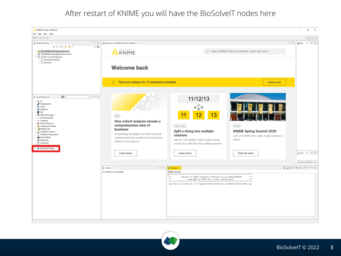## After restart of KNIME you will have the BioSolveIT nodes here

| KNIME Analytics Platform<br>$\Box$<br>$\overline{\phantom{a}}$<br>File Edit View Help<br>$\Box \bullet \boxdot \boxdot \boxdot \boxdot$<br><b>Quick Access</b><br>$-$<br>A. KNIME Explorer 22<br>$\qquad \qquad \Box$<br>Welcome to KNIME Analytics Platform 23<br>기타<br>田田田 参考                                                                                                                                                                                                                                                                                                                                                                                                                                                                                                                                                                                                                                                                                                                                                                                                                                                                                                                                                                                                                                                                                                                                                                                                                                                                                                                                                                                  |
|------------------------------------------------------------------------------------------------------------------------------------------------------------------------------------------------------------------------------------------------------------------------------------------------------------------------------------------------------------------------------------------------------------------------------------------------------------------------------------------------------------------------------------------------------------------------------------------------------------------------------------------------------------------------------------------------------------------------------------------------------------------------------------------------------------------------------------------------------------------------------------------------------------------------------------------------------------------------------------------------------------------------------------------------------------------------------------------------------------------------------------------------------------------------------------------------------------------------------------------------------------------------------------------------------------------------------------------------------------------------------------------------------------------------------------------------------------------------------------------------------------------------------------------------------------------------------------------------------------------------------------------------------------------|
|                                                                                                                                                                                                                                                                                                                                                                                                                                                                                                                                                                                                                                                                                                                                                                                                                                                                                                                                                                                                                                                                                                                                                                                                                                                                                                                                                                                                                                                                                                                                                                                                                                                                  |
|                                                                                                                                                                                                                                                                                                                                                                                                                                                                                                                                                                                                                                                                                                                                                                                                                                                                                                                                                                                                                                                                                                                                                                                                                                                                                                                                                                                                                                                                                                                                                                                                                                                                  |
|                                                                                                                                                                                                                                                                                                                                                                                                                                                                                                                                                                                                                                                                                                                                                                                                                                                                                                                                                                                                                                                                                                                                                                                                                                                                                                                                                                                                                                                                                                                                                                                                                                                                  |
|                                                                                                                                                                                                                                                                                                                                                                                                                                                                                                                                                                                                                                                                                                                                                                                                                                                                                                                                                                                                                                                                                                                                                                                                                                                                                                                                                                                                                                                                                                                                                                                                                                                                  |
| Open for Innovation = *<br>Q Search KNIME Hub for workflows, nodes and more<br>My-KNIME-Hub (hub.knime.com)<br><b>KNIME</b><br>> <a> EXAMPLES (knime@hub.knime.com)<br/>v A LOCAL (Local Workspace)<br/><math>\sum</math> Example Workflows<br/><math>\sum</math> Exercises</a>                                                                                                                                                                                                                                                                                                                                                                                                                                                                                                                                                                                                                                                                                                                                                                                                                                                                                                                                                                                                                                                                                                                                                                                                                                                                                                                                                                                  |
| <b>Welcome back</b>                                                                                                                                                                                                                                                                                                                                                                                                                                                                                                                                                                                                                                                                                                                                                                                                                                                                                                                                                                                                                                                                                                                                                                                                                                                                                                                                                                                                                                                                                                                                                                                                                                              |
| There are updates for 12 extensions available.<br>$\circ$<br><b>Update now</b>                                                                                                                                                                                                                                                                                                                                                                                                                                                                                                                                                                                                                                                                                                                                                                                                                                                                                                                                                                                                                                                                                                                                                                                                                                                                                                                                                                                                                                                                                                                                                                                   |
| $\vee$ = $\Box$<br> R <br>Node Repository<br>11/12/13<br>> 10<br><b>TELESCO</b><br>$\rightarrow$ Manipulation<br>$> 0$ Views<br>> 8 Analytics<br>$\rightarrow$ $\triangleq$ DB<br>13<br>12<br>11<br><b>O<sub>o</sub></b> Other Data Types<br>Blog<br>> <> Structured Data<br>$\rightarrow$ $\leftrightarrow$ Scripting<br>How cohort analysis reveals a<br>> John B. Services<br>comprehensive view of<br><b>Tips &amp; Tricks</b><br>Events<br>> Ap Community Nodes<br>> <a> KNIME Labs<br/><b>business</b><br/>Split a string into multiple<br/><b>KNIME Spring Summit 2020</b><br/>&gt; Vorkflow Control<br/>A marketing campaign can make customer<br/><math display="inline">&gt; \stackrel{\wedge}{\Delta}^{\wedge}</math> Workflow Abstraction<br/>columns<br/>Join us in Berlin for a week of data science in<br/>&gt; O Social Media<br/>numbers boom for a while. But what are the<br/>Use the "Cell Splitter" node to split a string<br/>action.<br/>&gt; <br/> Reporting<br/>effects in the long run?<br/>&gt; &amp; Chemistry<br>column by a delimiter into multiple columns.<br/><b>49 BioSolvelT Nodes</b><br/>△KNL ※ □ □<br/><b>Find out more</b><br/>Learn more<br/>Learn more<br/>Search workflows, nod<br/><b>BARR</b> CHE-D-1<br/>D Console &amp;<br/><b>RE Outline 33</b><br/>An outline is not available.<br/><b>KNIME Console</b><br/><br/><br/>Welcome to KNIME Analytics Platform v4.1.0.v201912201424<br/><math>\cdots</math><br/><math>\cdots</math><br/>*** Copyright by KNIME AG, Zurich, Switzerland *** ****<br/>Log file is located at: D:\Programs\Knime\workflows\.metadata\knime\knime.log<br/><math>\epsilon</math></br></a> |
|                                                                                                                                                                                                                                                                                                                                                                                                                                                                                                                                                                                                                                                                                                                                                                                                                                                                                                                                                                                                                                                                                                                                                                                                                                                                                                                                                                                                                                                                                                                                                                                                                                                                  |

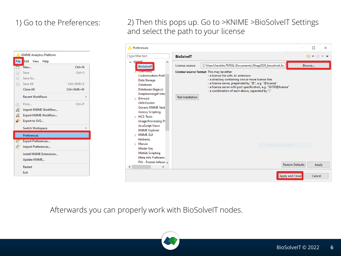

## 1) Go to the Preferences: 2) Then this pops up. Go to >KNIME >BioSolveIT Settings and select the path to your license

| <b>A</b> Preferences                                                                                                                                                                                                                                                                                       |                                                                                                                                                                                                                                                                                                                                                                                                                                     | п                       | $\times$                                                    |
|------------------------------------------------------------------------------------------------------------------------------------------------------------------------------------------------------------------------------------------------------------------------------------------------------------|-------------------------------------------------------------------------------------------------------------------------------------------------------------------------------------------------------------------------------------------------------------------------------------------------------------------------------------------------------------------------------------------------------------------------------------|-------------------------|-------------------------------------------------------------|
| type filter text                                                                                                                                                                                                                                                                                           | <b>BioSolvelT</b>                                                                                                                                                                                                                                                                                                                                                                                                                   |                         | $\Leftrightarrow$ $\rightarrow$ $\rightarrow$ $\rightarrow$ |
| $\vee$ KNIME<br><b>BioSolvelT</b><br><b>CHEMIERS</b><br><b>Customization Profi</b><br>Data Storage<br><b>Databases</b><br>Databases (legacy)<br>Deeplearning4J Inter<br>> Erlwood<br><b>GKN Docker</b><br><b>Generic KNIME Nod</b><br><b>Groovy Scripting</b><br>> HCS-Tools<br><b>Image Processing PI</b> | C:\Users\franklin.PERSIL\Documents\30sep2020_biosolveit.lic<br>License source:<br>License source format This may be either<br>- a license file with Jic extension<br>- a directory containing one or more license files<br>- a license server, prepended by "@", e.g. "@license"<br>- a license server with port specification, e.g. "56700@license"<br>- a combination of each above, separated by ";"<br><b>Test Installation</b> | Browse                  |                                                             |
| <b>JavaScript Views</b><br><b>KNIME</b> Explorer<br>$>$ KNIME GUI<br>Kerberos<br>$>$ Marvin<br><b>Master Key</b><br><b>Matlab Scripting</b><br>Meta Info Preferenci<br>PIA - Protein Inferen<br>$\mathbf{r}$<br>∢                                                                                          | Fenster ausschneiden                                                                                                                                                                                                                                                                                                                                                                                                                | <b>Restore Defaults</b> | Apply                                                       |
|                                                                                                                                                                                                                                                                                                            | <b>Apply and Close</b>                                                                                                                                                                                                                                                                                                                                                                                                              | Cancel                  |                                                             |

Afterwards you can properly work with BioSolveIT nodes.

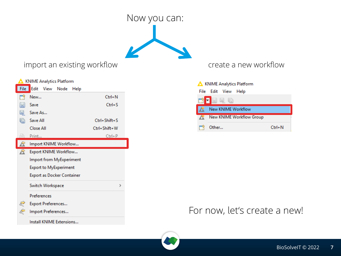

### import an existing workflow and the create a new workflow

| <b>KNIME Analytics Platform</b> |                            |                           |                       |      |              |               |  |
|---------------------------------|----------------------------|---------------------------|-----------------------|------|--------------|---------------|--|
| File                            | Edit                       |                           | View Node             | Help |              |               |  |
| ГŸ                              | New                        |                           |                       |      | $Ctrl + N$   |               |  |
| H                               | Save                       |                           |                       |      | $Ctrl + S$   |               |  |
| 61                              | Save As                    |                           |                       |      |              |               |  |
| r)                              | Save All                   |                           |                       |      | Ctrl+Shift+S |               |  |
|                                 | Close All                  |                           |                       |      | Ctrl+Shift+W |               |  |
| ۰l≡h                            | Print                      |                           |                       |      | $Ctrl + P$   |               |  |
|                                 |                            |                           | Import KNIME Workflow |      |              |               |  |
| B                               | Export KNIME Workflow      |                           |                       |      |              |               |  |
|                                 | Import from MyExperiment   |                           |                       |      |              |               |  |
|                                 | Export to MyExperiment     |                           |                       |      |              |               |  |
|                                 | Export as Docker Container |                           |                       |      |              |               |  |
|                                 | Switch Workspace           |                           |                       |      |              | $\rightarrow$ |  |
|                                 | Preferences                |                           |                       |      |              |               |  |
| ₹                               |                            | <b>Export Preferences</b> |                       |      |              |               |  |
|                                 | Import Preferences         |                           |                       |      |              |               |  |
|                                 | Install KNIME Extensions   |                           |                       |      |              |               |  |

| KNIME Analytics Platform |                                 |            |  |  |  |
|--------------------------|---------------------------------|------------|--|--|--|
| File                     | Edit View Help                  |            |  |  |  |
|                          | d - 5 4 6                       |            |  |  |  |
|                          | New KNIME Workflow              |            |  |  |  |
|                          | <b>New KNIME Workflow Group</b> |            |  |  |  |
|                          | Other                           | $Ctrl + M$ |  |  |  |

## For now, let's create a new!

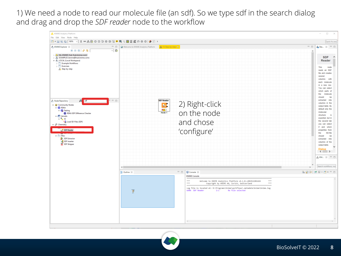1) We need a node to read our molecule file (an sdf). So we type sdf in the search dialog and drag and drop the *SDF reader* node to the workflow



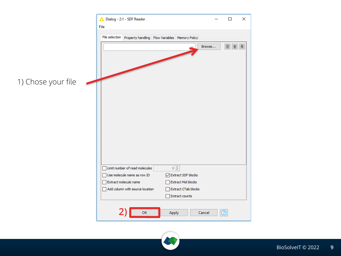

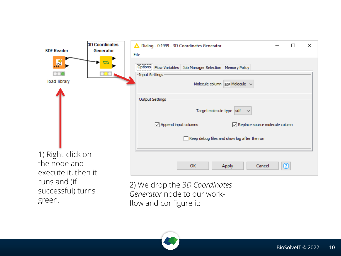| <b>SDF Reader</b>                   | <b>3D Coordinates</b><br>Generator | Dialog - 0:1999 - 3D Coordinates Generator<br>П<br>File                                                                       | × |
|-------------------------------------|------------------------------------|-------------------------------------------------------------------------------------------------------------------------------|---|
| Ø<br>load library                   |                                    | Options   Flow Variables   Job Manager Selection   Memory Policy<br>- Input Settings<br>Molecule column   spr Molecule $\sim$ |   |
|                                     |                                    | Output Settings<br>Target molecule type sdf $\sim$                                                                            |   |
|                                     |                                    | $\sqrt{ }$ Append input columns<br>Replace source molecule column                                                             |   |
|                                     |                                    | Keep debug files and show log after the run<br>П                                                                              |   |
| 1) Right-click on                   |                                    |                                                                                                                               |   |
| the node and<br>execute it, then it |                                    | ø<br><b>OK</b><br>Cancel<br>Apply                                                                                             |   |
| runs and (if                        |                                    | 2) We dron the 3D Coordinates                                                                                                 |   |

2) We drop the *3D Coordinates Generator* node to our workflow and configure it:



successful) turns

green.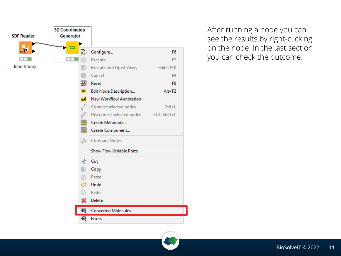

After running a node you can see the results by right-clicking on the node. In the last section you can check the outcome.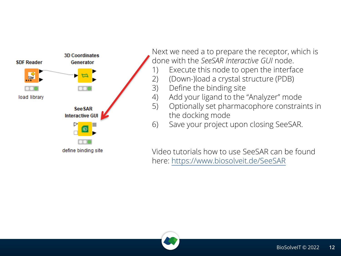

Next we need a to prepare the receptor, which is done with the *SeeSAR Interactive GUI* node.

- 1) Execute this node to open the interface
- 2) (Down-)load a crystal structure (PDB)
- 3) Define the binding site
- 4) Add your ligand to the "Analyzer" mode
- 5) Optionally set pharmacophore constraints in the docking mode
- 6) Save your project upon closing SeeSAR.

Video tutorials how to use SeeSAR can be found here: [https://www.biosolveit.de/SeeSAR](https://www.biosolveit.de/SeeSAR#help)

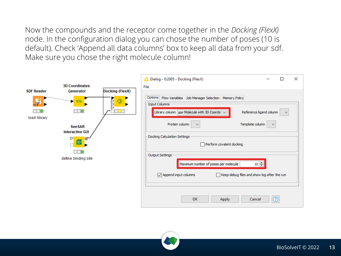Now the compounds and the receptor come together in the *Docking (FlexX)* node. In the configuration dialog you can chose the number of poses (10 is default). Check 'Append all data columns' box to keep all data from your sdf. Make sure you chose the right molecule column!



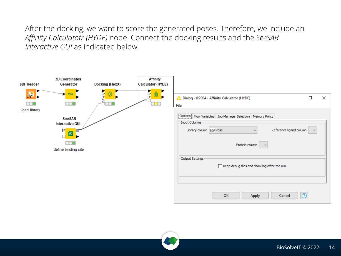After the docking, we want to score the generated poses. Therefore, we include an *Affinity Calculatotr (HYDE)* node. Connect the docking results and the *SeeSAR Interactive GUI* as indicated below.



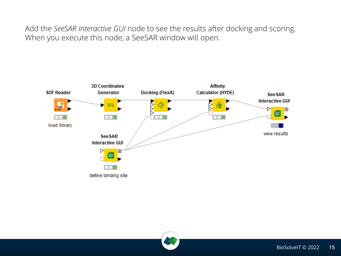Add the *SeeSAR Interactive GUI* node to see the results after docking and scoring. When you execute this node, a SeeSAR window will open.



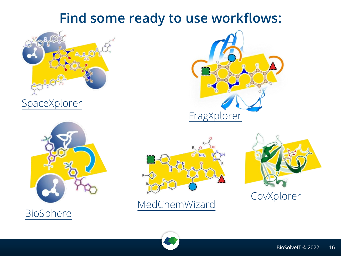## **Find some ready to use workflows:**



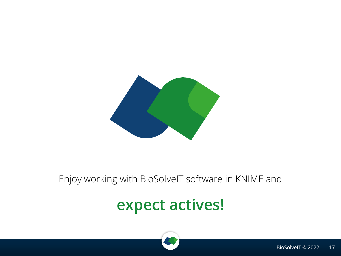

## Enjoy working with BioSolveIT software in KNIME and

## **expect actives!**